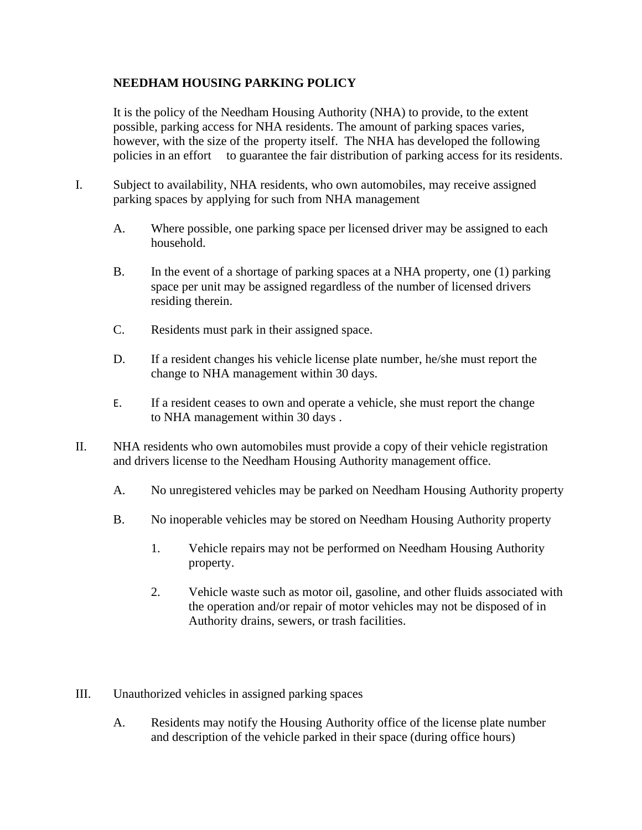## **NEEDHAM HOUSING PARKING POLICY**

It is the policy of the Needham Housing Authority (NHA) to provide, to the extent possible, parking access for NHA residents. The amount of parking spaces varies, however, with the size of the property itself. The NHA has developed the following policies in an effort to guarantee the fair distribution of parking access for its residents.

- I. Subject to availability, NHA residents, who own automobiles, may receive assigned parking spaces by applying for such from NHA management
	- A. Where possible, one parking space per licensed driver may be assigned to each household.
	- B. In the event of a shortage of parking spaces at a NHA property, one (1) parking space per unit may be assigned regardless of the number of licensed drivers residing therein.
	- C. Residents must park in their assigned space.
	- D. If a resident changes his vehicle license plate number, he/she must report the change to NHA management within 30 days.
	- E. If a resident ceases to own and operate a vehicle, she must report the change to NHA management within 30 days .
- II. NHA residents who own automobiles must provide a copy of their vehicle registration and drivers license to the Needham Housing Authority management office.
	- A. No unregistered vehicles may be parked on Needham Housing Authority property
	- B. No inoperable vehicles may be stored on Needham Housing Authority property
		- 1. Vehicle repairs may not be performed on Needham Housing Authority property.
		- 2. Vehicle waste such as motor oil, gasoline, and other fluids associated with the operation and/or repair of motor vehicles may not be disposed of in Authority drains, sewers, or trash facilities.
- III. Unauthorized vehicles in assigned parking spaces
	- A. Residents may notify the Housing Authority office of the license plate number and description of the vehicle parked in their space (during office hours)